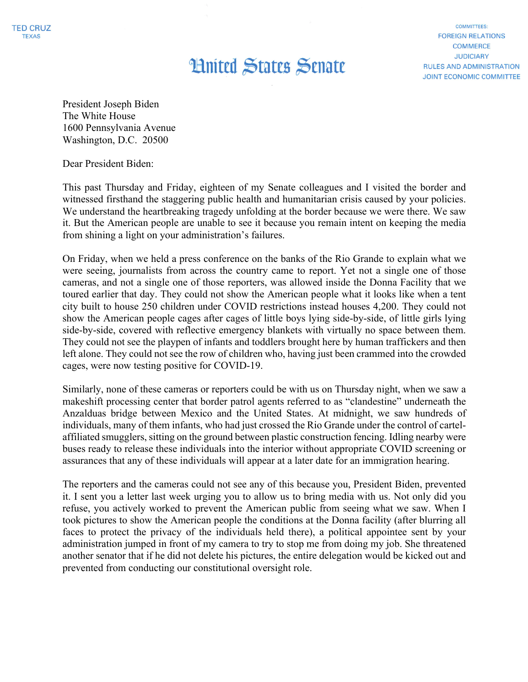## **Hnited States Senate** March 28, 2021

**COMMITTEES: FOREIGN RELATIONS COMMERCE JUDICIARY RULES AND ADMINISTRATION** JOINT ECONOMIC COMMITTEE

President Joseph Biden The White House 1600 Pennsylvania Avenue Washington, D.C. 20500

Dear President Biden:

This past Thursday and Friday, eighteen of my Senate colleagues and I visited the border and witnessed firsthand the staggering public health and humanitarian crisis caused by your policies. We understand the heartbreaking tragedy unfolding at the border because we were there. We saw it. But the American people are unable to see it because you remain intent on keeping the media from shining a light on your administration's failures.

On Friday, when we held a press conference on the banks of the Rio Grande to explain what we were seeing, journalists from across the country came to report. Yet not a single one of those cameras, and not a single one of those reporters, was allowed inside the Donna Facility that we toured earlier that day. They could not show the American people what it looks like when a tent city built to house 250 children under COVID restrictions instead houses 4,200. They could not show the American people cages after cages of little boys lying side-by-side, of little girls lying side-by-side, covered with reflective emergency blankets with virtually no space between them. They could not see the playpen of infants and toddlers brought here by human traffickers and then left alone. They could not see the row of children who, having just been crammed into the crowded cages, were now testing positive for COVID-19.

Similarly, none of these cameras or reporters could be with us on Thursday night, when we saw a makeshift processing center that border patrol agents referred to as "clandestine" underneath the Anzalduas bridge between Mexico and the United States. At midnight, we saw hundreds of individuals, many of them infants, who had just crossed the Rio Grande under the control of cartelaffiliated smugglers, sitting on the ground between plastic construction fencing. Idling nearby were buses ready to release these individuals into the interior without appropriate COVID screening or assurances that any of these individuals will appear at a later date for an immigration hearing.

The reporters and the cameras could not see any of this because you, President Biden, prevented it. I sent you a letter last week urging you to allow us to bring media with us. Not only did you refuse, you actively worked to prevent the American public from seeing what we saw. When I took pictures to show the American people the conditions at the Donna facility (after blurring all faces to protect the privacy of the individuals held there), a political appointee sent by your administration jumped in front of my camera to try to stop me from doing my job. She threatened another senator that if he did not delete his pictures, the entire delegation would be kicked out and prevented from conducting our constitutional oversight role.